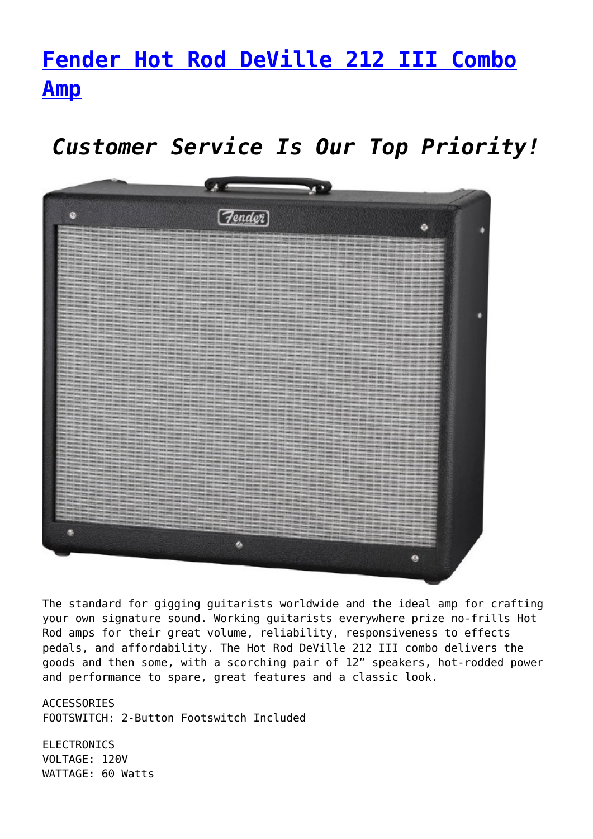## **[Fender Hot Rod DeVille 212 III Combo](https://www.promusicalaska.com/store/amps/instrument-amps/fender-hot-rod-deville-212-iii-combo-amp/) [Amp](https://www.promusicalaska.com/store/amps/instrument-amps/fender-hot-rod-deville-212-iii-combo-amp/)**

*Customer Service Is Our Top Priority!*



The standard for gigging guitarists worldwide and the ideal amp for crafting your own signature sound. Working guitarists everywhere prize no-frills Hot Rod amps for their great volume, reliability, responsiveness to effects pedals, and affordability. The Hot Rod DeVille 212 III combo delivers the goods and then some, with a scorching pair of 12" speakers, hot-rodded power and performance to spare, great features and a classic look.

ACCESSORIES FOOTSWITCH: 2-Button Footswitch Included

**ELECTRONICS** VOLTAGE: 120V WATTAGE: 60 Watts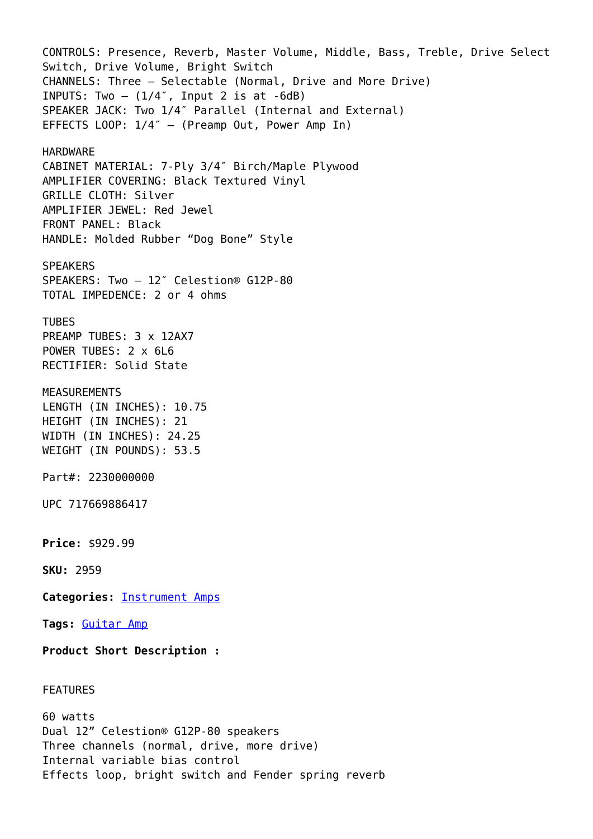CONTROLS: Presence, Reverb, Master Volume, Middle, Bass, Treble, Drive Select Switch, Drive Volume, Bright Switch CHANNELS: Three – Selectable (Normal, Drive and More Drive) INPUTS: Two  $(1/4)$ , Input 2 is at  $-6dB$ ) SPEAKER JACK: Two 1/4″ Parallel (Internal and External) EFFECTS LOOP: 1/4″ – (Preamp Out, Power Amp In) HARDWARE CABINET MATERIAL: 7-Ply 3/4″ Birch/Maple Plywood AMPLIFIER COVERING: Black Textured Vinyl GRILLE CLOTH: Silver AMPLIFIER JEWEL: Red Jewel FRONT PANEL: Black HANDLE: Molded Rubber "Dog Bone" Style SPEAKERS SPEAKERS: Two – 12″ Celestion® G12P-80 TOTAL IMPEDENCE: 2 or 4 ohms TUBES PREAMP TUBES: 3 x 12AX7 POWER TUBES: 2 x 6L6 RECTIFIER: Solid State MEASUREMENTS LENGTH (IN INCHES): 10.75 HEIGHT (IN INCHES): 21 WIDTH (IN INCHES): 24.25 WEIGHT (IN POUNDS): 53.5 Part#: 2230000000 UPC 717669886417 **Price:** \$929.99 **SKU:** 2959 **Categories:** [Instrument Amps](https://www.promusicalaska.com/product-category/amps/instrument-amps/) **Tags:** [Guitar Amp](https://www.promusicalaska.com/product-tag/guitar-amp/) **Product Short Description :** FEATURES 60 watts Dual 12" Celestion® G12P-80 speakers

Three channels (normal, drive, more drive) Internal variable bias control Effects loop, bright switch and Fender spring reverb